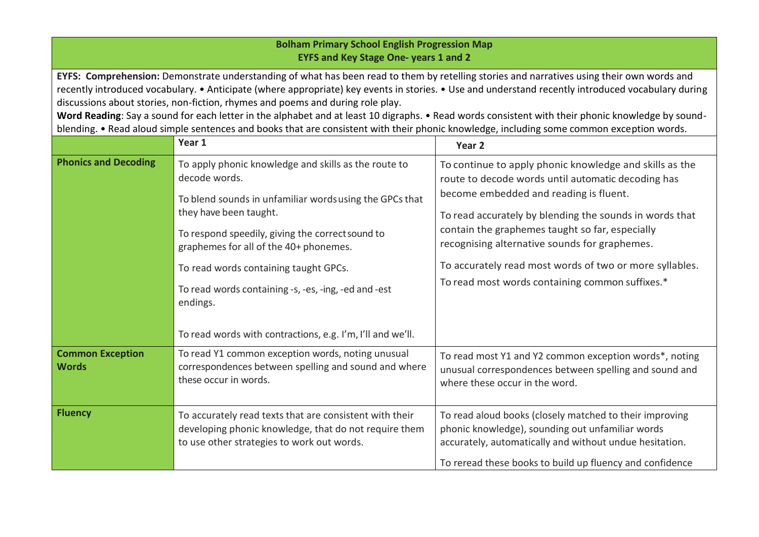| <b>Bolham Primary School English Progression Map</b><br><b>EYFS and Key Stage One- years 1 and 2</b>                                                                                                                                                                                                                                                                                                                                                                                                                                                                                                                                                                                 |                                                                                                                                                                                                                                                                                                                                                                       |                                                                                                                                                                                                                                                                                                                                                                                                                                      |  |  |
|--------------------------------------------------------------------------------------------------------------------------------------------------------------------------------------------------------------------------------------------------------------------------------------------------------------------------------------------------------------------------------------------------------------------------------------------------------------------------------------------------------------------------------------------------------------------------------------------------------------------------------------------------------------------------------------|-----------------------------------------------------------------------------------------------------------------------------------------------------------------------------------------------------------------------------------------------------------------------------------------------------------------------------------------------------------------------|--------------------------------------------------------------------------------------------------------------------------------------------------------------------------------------------------------------------------------------------------------------------------------------------------------------------------------------------------------------------------------------------------------------------------------------|--|--|
| EYFS: Comprehension: Demonstrate understanding of what has been read to them by retelling stories and narratives using their own words and<br>recently introduced vocabulary. • Anticipate (where appropriate) key events in stories. • Use and understand recently introduced vocabulary during<br>discussions about stories, non-fiction, rhymes and poems and during role play.<br>Word Reading: Say a sound for each letter in the alphabet and at least 10 digraphs. • Read words consistent with their phonic knowledge by sound-<br>blending. • Read aloud simple sentences and books that are consistent with their phonic knowledge, including some common exception words. |                                                                                                                                                                                                                                                                                                                                                                       |                                                                                                                                                                                                                                                                                                                                                                                                                                      |  |  |
|                                                                                                                                                                                                                                                                                                                                                                                                                                                                                                                                                                                                                                                                                      | Year 1                                                                                                                                                                                                                                                                                                                                                                | Year <sub>2</sub>                                                                                                                                                                                                                                                                                                                                                                                                                    |  |  |
| <b>Phonics and Decoding</b>                                                                                                                                                                                                                                                                                                                                                                                                                                                                                                                                                                                                                                                          | To apply phonic knowledge and skills as the route to<br>decode words.<br>To blend sounds in unfamiliar words using the GPCs that<br>they have been taught.<br>To respond speedily, giving the correct sound to<br>graphemes for all of the 40+ phonemes.<br>To read words containing taught GPCs.<br>To read words containing -s, -es, -ing, -ed and -est<br>endings. | To continue to apply phonic knowledge and skills as the<br>route to decode words until automatic decoding has<br>become embedded and reading is fluent.<br>To read accurately by blending the sounds in words that<br>contain the graphemes taught so far, especially<br>recognising alternative sounds for graphemes.<br>To accurately read most words of two or more syllables.<br>To read most words containing common suffixes.* |  |  |
|                                                                                                                                                                                                                                                                                                                                                                                                                                                                                                                                                                                                                                                                                      | To read words with contractions, e.g. I'm, I'll and we'll.                                                                                                                                                                                                                                                                                                            |                                                                                                                                                                                                                                                                                                                                                                                                                                      |  |  |
| <b>Common Exception</b><br><b>Words</b>                                                                                                                                                                                                                                                                                                                                                                                                                                                                                                                                                                                                                                              | To read Y1 common exception words, noting unusual<br>correspondences between spelling and sound and where<br>these occur in words.                                                                                                                                                                                                                                    | To read most Y1 and Y2 common exception words*, noting<br>unusual correspondences between spelling and sound and<br>where these occur in the word.                                                                                                                                                                                                                                                                                   |  |  |
| <b>Fluency</b>                                                                                                                                                                                                                                                                                                                                                                                                                                                                                                                                                                                                                                                                       | To accurately read texts that are consistent with their<br>developing phonic knowledge, that do not require them<br>to use other strategies to work out words.                                                                                                                                                                                                        | To read aloud books (closely matched to their improving<br>phonic knowledge), sounding out unfamiliar words<br>accurately, automatically and without undue hesitation.<br>To reread these books to build up fluency and confidence                                                                                                                                                                                                   |  |  |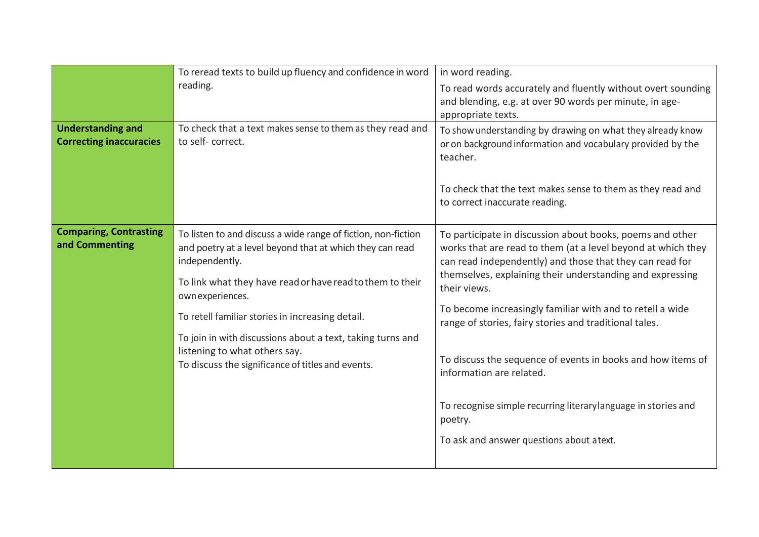|                                                            | To reread texts to build up fluency and confidence in word<br>reading.                                                                                                                                                                                                                                                                                                                                                               | in word reading.<br>To read words accurately and fluently without overt sounding<br>and blending, e.g. at over 90 words per minute, in age-<br>appropriate texts.                                                                                                                                                                                                                                                                                                                                                                                                                                             |
|------------------------------------------------------------|--------------------------------------------------------------------------------------------------------------------------------------------------------------------------------------------------------------------------------------------------------------------------------------------------------------------------------------------------------------------------------------------------------------------------------------|---------------------------------------------------------------------------------------------------------------------------------------------------------------------------------------------------------------------------------------------------------------------------------------------------------------------------------------------------------------------------------------------------------------------------------------------------------------------------------------------------------------------------------------------------------------------------------------------------------------|
| <b>Understanding and</b><br><b>Correcting inaccuracies</b> | To check that a text makes sense to them as they read and<br>to self-correct.                                                                                                                                                                                                                                                                                                                                                        | To show understanding by drawing on what they already know<br>or on background information and vocabulary provided by the<br>teacher.<br>To check that the text makes sense to them as they read and<br>to correct inaccurate reading.                                                                                                                                                                                                                                                                                                                                                                        |
| <b>Comparing, Contrasting</b><br>and Commenting            | To listen to and discuss a wide range of fiction, non-fiction<br>and poetry at a level beyond that at which they can read<br>independently.<br>To link what they have read or have read to them to their<br>own experiences.<br>To retell familiar stories in increasing detail.<br>To join in with discussions about a text, taking turns and<br>listening to what others say.<br>To discuss the significance of titles and events. | To participate in discussion about books, poems and other<br>works that are read to them (at a level beyond at which they<br>can read independently) and those that they can read for<br>themselves, explaining their understanding and expressing<br>their views.<br>To become increasingly familiar with and to retell a wide<br>range of stories, fairy stories and traditional tales.<br>To discuss the sequence of events in books and how items of<br>information are related.<br>To recognise simple recurring literary language in stories and<br>poetry.<br>To ask and answer questions about atext. |